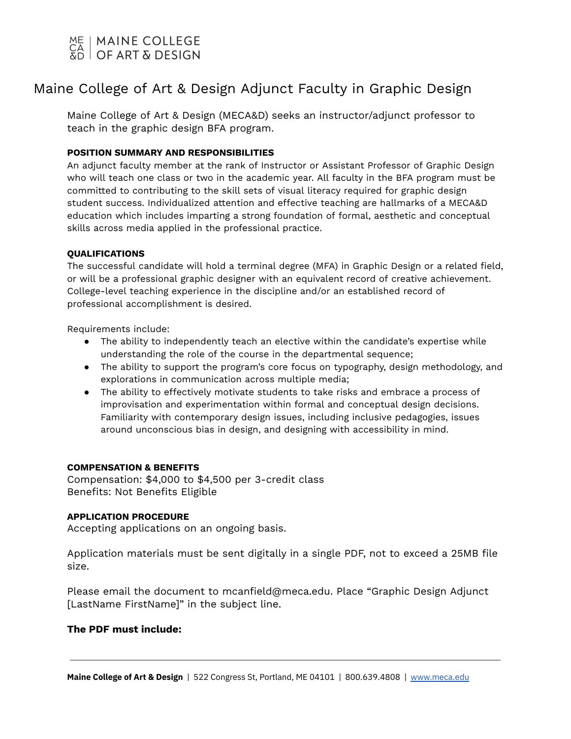## | MAINE COLLEGE OF ART & DESIGN

# Maine College of Art & Design Adjunct Faculty in Graphic Design

Maine College of Art & Design (MECA&D) seeks an instructor/adjunct professor to teach in the graphic design BFA program.

### **POSITION SUMMARY AND RESPONSIBILITIES**

An adjunct faculty member at the rank of Instructor or Assistant Professor of Graphic Design who will teach one class or two in the academic year. All faculty in the BFA program must be committed to contributing to the skill sets of visual literacy required for graphic design student success. Individualized attention and effective teaching are hallmarks of a MECA&D education which includes imparting a strong foundation of formal, aesthetic and conceptual skills across media applied in the professional practice.

### **QUALIFICATIONS**

The successful candidate will hold a terminal degree (MFA) in Graphic Design or a related field, or will be a professional graphic designer with an equivalent record of creative achievement. College-level teaching experience in the discipline and/or an established record of professional accomplishment is desired.

Requirements include:

- The ability to independently teach an elective within the candidate's expertise while understanding the role of the course in the departmental sequence;
- The ability to support the program's core focus on typography, design methodology, and explorations in communication across multiple media;
- The ability to effectively motivate students to take risks and embrace a process of improvisation and experimentation within formal and conceptual design decisions. Familiarity with contemporary design issues, including inclusive pedagogies, issues around unconscious bias in design, and designing with accessibility in mind.

### **COMPENSATION & BENEFITS**

Compensation: \$4,000 to \$4,500 per 3-credit class Benefits: Not Benefits Eligible

#### **APPLICATION PROCEDURE**

Accepting applications on an ongoing basis.

Application materials must be sent digitally in a single PDF, not to exceed a 25MB file size.

Please email the document to mcanfield@meca.edu. Place "Graphic Design Adjunct [LastName FirstName]" in the subject line.

### **The PDF must include:**